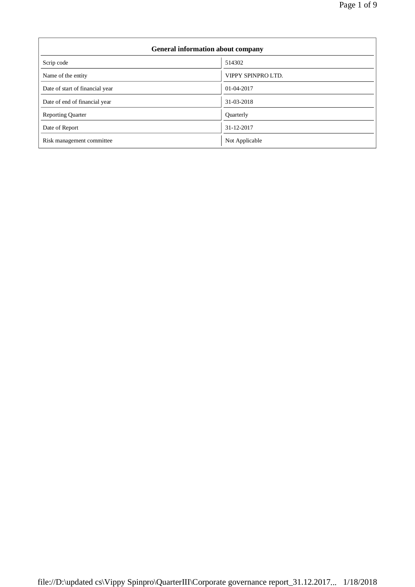$\overline{\phantom{0}}$ 

| <b>General information about company</b> |                    |  |
|------------------------------------------|--------------------|--|
| Scrip code                               | 514302             |  |
| Name of the entity                       | VIPPY SPINPRO LTD. |  |
| Date of start of financial year          | 01-04-2017         |  |
| Date of end of financial year            | 31-03-2018         |  |
| <b>Reporting Quarter</b>                 | Quarterly          |  |
| Date of Report                           | 31-12-2017         |  |
| Risk management committee                | Not Applicable     |  |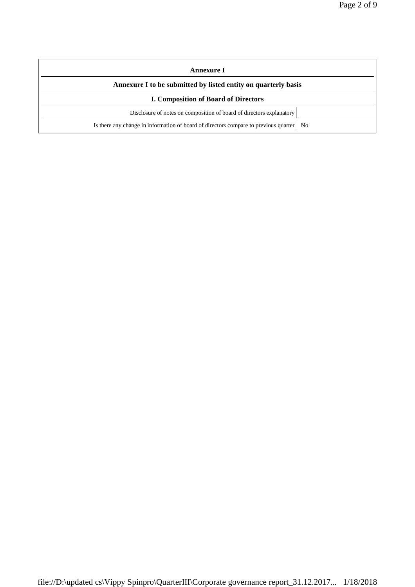| Annexure I                                                                                 |  |  |
|--------------------------------------------------------------------------------------------|--|--|
| Annexure I to be submitted by listed entity on quarterly basis                             |  |  |
| <b>I. Composition of Board of Directors</b>                                                |  |  |
| Disclosure of notes on composition of board of directors explanatory                       |  |  |
| Is there any change in information of board of directors compare to previous quarter<br>No |  |  |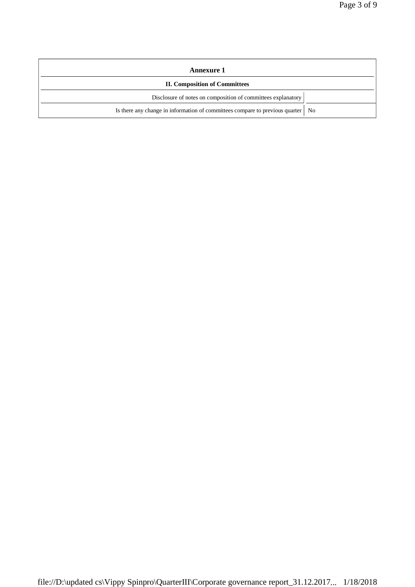| <b>Annexure 1</b>                                                                 |  |  |
|-----------------------------------------------------------------------------------|--|--|
| <b>II. Composition of Committees</b>                                              |  |  |
| Disclosure of notes on composition of committees explanatory                      |  |  |
| Is there any change in information of committees compare to previous quarter   No |  |  |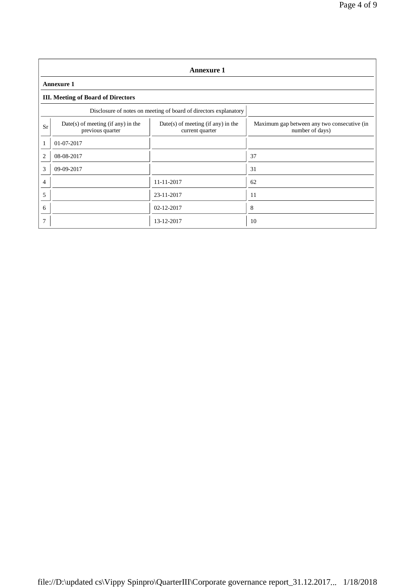| <b>Annexure 1</b>                                                |                                                          |                                                         |                                                                |  |  |  |
|------------------------------------------------------------------|----------------------------------------------------------|---------------------------------------------------------|----------------------------------------------------------------|--|--|--|
|                                                                  | <b>Annexure 1</b>                                        |                                                         |                                                                |  |  |  |
|                                                                  | <b>III. Meeting of Board of Directors</b>                |                                                         |                                                                |  |  |  |
| Disclosure of notes on meeting of board of directors explanatory |                                                          |                                                         |                                                                |  |  |  |
| <b>Sr</b>                                                        | $Date(s)$ of meeting (if any) in the<br>previous quarter | $Date(s)$ of meeting (if any) in the<br>current quarter | Maximum gap between any two consecutive (in<br>number of days) |  |  |  |
| 1                                                                | 01-07-2017                                               |                                                         |                                                                |  |  |  |
| $\mathfrak{2}$                                                   | 08-08-2017                                               |                                                         | 37                                                             |  |  |  |
| 3                                                                | 09-09-2017                                               |                                                         | 31                                                             |  |  |  |
| $\overline{4}$                                                   |                                                          | 11-11-2017                                              | 62                                                             |  |  |  |
| 5                                                                |                                                          | 23-11-2017                                              | 11                                                             |  |  |  |
| 6                                                                |                                                          | 02-12-2017                                              | 8                                                              |  |  |  |
| $\overline{7}$                                                   |                                                          | 13-12-2017                                              | 10                                                             |  |  |  |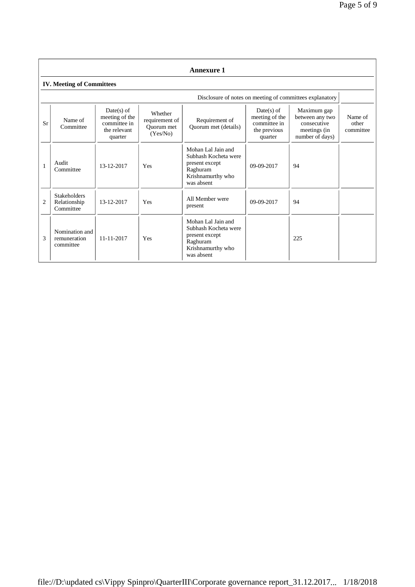|                | <b>Annexure 1</b>                                |                                                                           |                                                     |                                                                                                             |                                                                           |                                                                                  |                               |
|----------------|--------------------------------------------------|---------------------------------------------------------------------------|-----------------------------------------------------|-------------------------------------------------------------------------------------------------------------|---------------------------------------------------------------------------|----------------------------------------------------------------------------------|-------------------------------|
|                | <b>IV. Meeting of Committees</b>                 |                                                                           |                                                     |                                                                                                             |                                                                           |                                                                                  |                               |
|                |                                                  |                                                                           |                                                     |                                                                                                             |                                                                           | Disclosure of notes on meeting of committees explanatory                         |                               |
| Sr             | Name of<br>Committee                             | $Date(s)$ of<br>meeting of the<br>committee in<br>the relevant<br>quarter | Whether<br>requirement of<br>Ouorum met<br>(Yes/No) | Requirement of<br>Quorum met (details)                                                                      | $Date(s)$ of<br>meeting of the<br>committee in<br>the previous<br>quarter | Maximum gap<br>between any two<br>consecutive<br>meetings (in<br>number of days) | Name of<br>other<br>committee |
| $\mathbf{1}$   | Audit<br>Committee                               | 13-12-2017                                                                | Yes                                                 | Mohan Lal Jain and<br>Subhash Kocheta were<br>present except<br>Raghuram<br>Krishnamurthy who<br>was absent | $09-09-2017$                                                              | 94                                                                               |                               |
| $\overline{c}$ | <b>Stakeholders</b><br>Relationship<br>Committee | 13-12-2017                                                                | Yes                                                 | All Member were<br>present                                                                                  | $09-09-2017$                                                              | 94                                                                               |                               |
| 3              | Nomination and<br>remuneration<br>committee      | 11-11-2017                                                                | Yes                                                 | Mohan Lal Jain and<br>Subhash Kocheta were<br>present except<br>Raghuram<br>Krishnamurthy who<br>was absent |                                                                           | 225                                                                              |                               |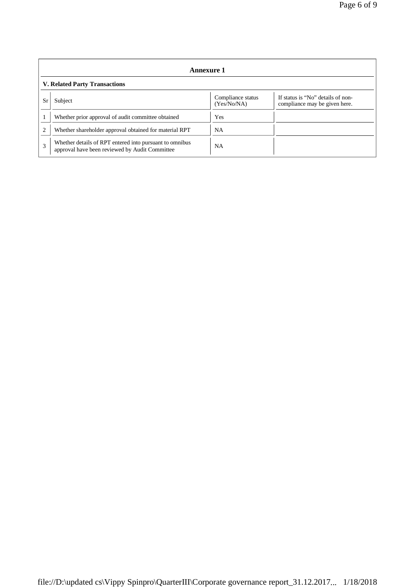| Annexure 1                           |                                                                                                           |                                  |                                                                    |
|--------------------------------------|-----------------------------------------------------------------------------------------------------------|----------------------------------|--------------------------------------------------------------------|
| <b>V. Related Party Transactions</b> |                                                                                                           |                                  |                                                                    |
| Sr                                   | Subject                                                                                                   | Compliance status<br>(Yes/No/NA) | If status is "No" details of non-<br>compliance may be given here. |
|                                      | Whether prior approval of audit committee obtained                                                        | Yes                              |                                                                    |
| $\overline{2}$                       | Whether shareholder approval obtained for material RPT                                                    | NA                               |                                                                    |
| 3                                    | Whether details of RPT entered into pursuant to omnibus<br>approval have been reviewed by Audit Committee | <b>NA</b>                        |                                                                    |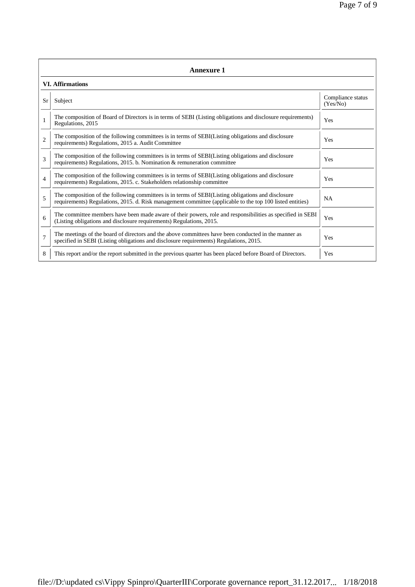|                         | Annexure 1                                                                                                                                                                                                      |                               |  |  |  |
|-------------------------|-----------------------------------------------------------------------------------------------------------------------------------------------------------------------------------------------------------------|-------------------------------|--|--|--|
| <b>VI.</b> Affirmations |                                                                                                                                                                                                                 |                               |  |  |  |
| Sr                      | Subject                                                                                                                                                                                                         | Compliance status<br>(Yes/No) |  |  |  |
|                         | The composition of Board of Directors is in terms of SEBI (Listing obligations and disclosure requirements)<br>Regulations, 2015                                                                                | Yes                           |  |  |  |
| $\overline{c}$          | The composition of the following committees is in terms of SEBI(Listing obligations and disclosure<br>requirements) Regulations, 2015 a. Audit Committee                                                        | Yes                           |  |  |  |
| 3                       | The composition of the following committees is in terms of SEBI(Listing obligations and disclosure<br>requirements) Regulations, 2015. b. Nomination & remuneration committee                                   | Yes                           |  |  |  |
| $\overline{4}$          | The composition of the following committees is in terms of SEBI(Listing obligations and disclosure<br>requirements) Regulations, 2015. c. Stakeholders relationship committee                                   | Yes                           |  |  |  |
| 5                       | The composition of the following committees is in terms of SEBI(Listing obligations and disclosure<br>requirements) Regulations, 2015. d. Risk management committee (applicable to the top 100 listed entities) | NA                            |  |  |  |
| 6                       | The committee members have been made aware of their powers, role and responsibilities as specified in SEBI<br>(Listing obligations and disclosure requirements) Regulations, 2015.                              | Yes                           |  |  |  |
| $\overline{7}$          | The meetings of the board of directors and the above committees have been conducted in the manner as<br>specified in SEBI (Listing obligations and disclosure requirements) Regulations, 2015.                  | Yes                           |  |  |  |
| 8                       | This report and/or the report submitted in the previous quarter has been placed before Board of Directors.                                                                                                      | Yes                           |  |  |  |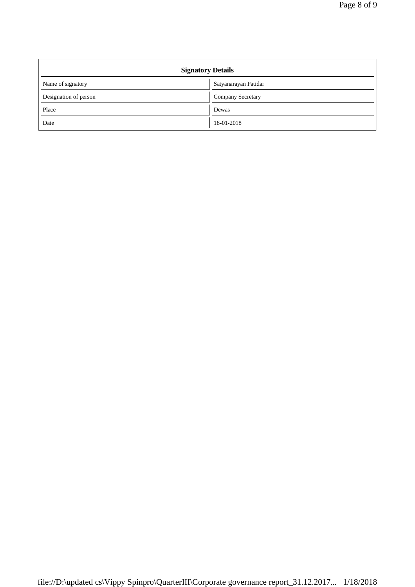| <b>Signatory Details</b> |                      |  |
|--------------------------|----------------------|--|
| Name of signatory        | Satyanarayan Patidar |  |
| Designation of person    | Company Secretary    |  |
| Place                    | Dewas                |  |
| Date                     | 18-01-2018           |  |